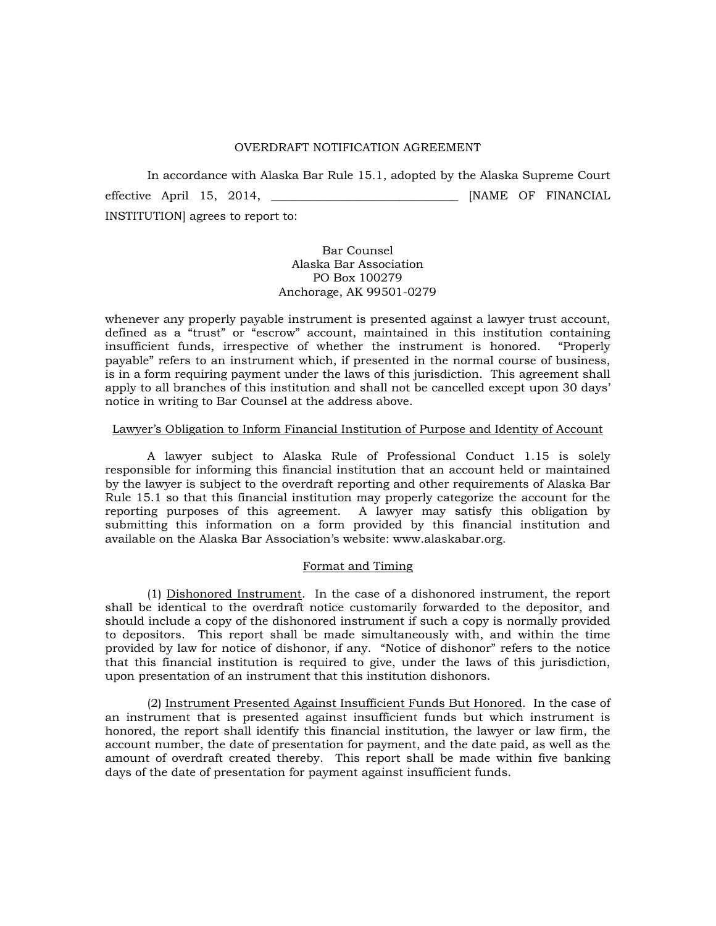#### OVERDRAFT NOTIFICATION AGREEMENT

 In accordance with Alaska Bar Rule 15.1, adopted by the Alaska Supreme Court effective April 15, 2014, \_\_\_\_\_\_\_\_\_\_\_\_\_\_\_\_\_\_\_\_\_\_\_\_\_\_\_\_\_\_\_\_ [NAME OF FINANCIAL INSTITUTION] agrees to report to:

# Bar Counsel Alaska Bar Association PO Box 100279 Anchorage, AK 99501-0279

whenever any properly payable instrument is presented against a lawyer trust account, defined as a "trust" or "escrow" account, maintained in this institution containing insufficient funds, irrespective of whether the instrument is honored. "Properly payable" refers to an instrument which, if presented in the normal course of business, is in a form requiring payment under the laws of this jurisdiction. This agreement shall apply to all branches of this institution and shall not be cancelled except upon 30 days' notice in writing to Bar Counsel at the address above.

## Lawyer's Obligation to Inform Financial Institution of Purpose and Identity of Account

A lawyer subject to Alaska Rule of Professional Conduct 1.15 is solely responsible for informing this financial institution that an account held or maintained by the lawyer is subject to the overdraft reporting and other requirements of Alaska Bar Rule 15.1 so that this financial institution may properly categorize the account for the reporting purposes of this agreement. A lawyer may satisfy this obligation by submitting this information on a form provided by this financial institution and available on the Alaska Bar Association's website: www.alaskabar.org.

## Format and Timing

 (1) Dishonored Instrument. In the case of a dishonored instrument, the report shall be identical to the overdraft notice customarily forwarded to the depositor, and should include a copy of the dishonored instrument if such a copy is normally provided to depositors. This report shall be made simultaneously with, and within the time provided by law for notice of dishonor, if any. "Notice of dishonor" refers to the notice that this financial institution is required to give, under the laws of this jurisdiction, upon presentation of an instrument that this institution dishonors.

 (2) Instrument Presented Against Insufficient Funds But Honored. In the case of an instrument that is presented against insufficient funds but which instrument is honored, the report shall identify this financial institution, the lawyer or law firm, the account number, the date of presentation for payment, and the date paid, as well as the amount of overdraft created thereby. This report shall be made within five banking days of the date of presentation for payment against insufficient funds.